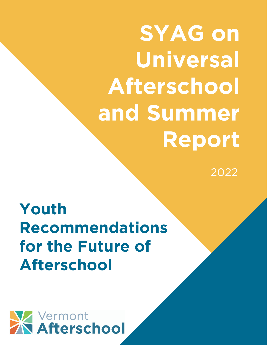**SYAG on Universal Afterschool and Summer Report**

2022

**Youth Recommendations for the Future of Afterschool**

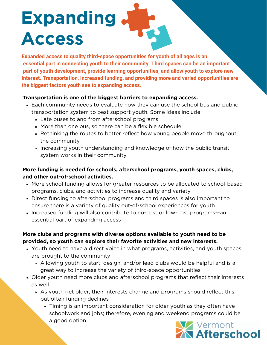# **Expanding Access**

**Expanded access to quality third-space opportunities for youth of all ages is an essential part in connecting youth to their community. Third spaces can be an important part of youth development, provide learning opportunities, and allow youth to explore new interest. Transportation, increased funding, and providing more and varied opportunities are the biggest factors youth see to expanding access.**

#### **Transportation is one of the biggest barriers to expanding access.**

- Each community needs to evaluate how they can use the school bus and public transportation system to best support youth. Some ideas include:
	- Late buses to and from afterschool programs
	- More than one bus, so there can be a flexible schedule
	- Rethinking the routes to better reflect how young people move throughout the community
	- Increasing youth understanding and knowledge of how the public transit system works in their community

#### **More funding is needed for schools, afterschool programs, youth spaces, clubs, and other out-of-school activities.**

- More school funding allows for greater resources to be allocated to school-based programs, clubs, and activities to increase quality and variety
- Direct funding to afterschool programs and third spaces is also important to ensure there is a variety of quality out-of-school experiences for youth
- Increased funding will also contribute to no-cost or low-cost programs—an essential part of expanding access

#### **More clubs and programs with diverse options available to youth need to be provided, so youth can explore their favorite activities and new interests.**

- Youth need to have a direct voice in what programs, activities, and youth spaces are brought to the community
	- Allowing youth to start, design, and/or lead clubs would be helpful and is a great way to increase the variety of third-space opportunities
- Older youth need more clubs and afterschool programs that reflect their interests as well
	- As youth get older, their interests change and programs should reflect this, but often funding declines
		- Timing is an important consideration for older youth as they often have schoolwork and jobs; therefore, evening and weekend programs could be a good option

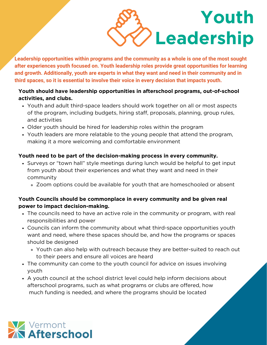**Youth Leadership**

**Leadership opportunities within programs and the community as a whole is one of the most sought after experiences youth focused on. Youth leadership roles provide great opportunities for learning and growth. Additionally, youth are experts in what they want and need in their community and in third spaces, so it is essential to involve their voice in every decision that impacts youth.**

#### **Youth should have leadership opportunities in afterschool programs, out-of-school activities, and clubs.**

- Youth and adult third-space leaders should work together on all or most aspects of the program, including budgets, hiring staff, proposals, planning, group rules, and activities
- Older youth should be hired for leadership roles within the program
- Youth leaders are more relatable to the young people that attend the program, making it a more welcoming and comfortable environment

#### **Youth need to be part of the decision-making process in every community.**

- Surveys or "town hall" style meetings during lunch would be helpful to get input from youth about their experiences and what they want and need in their community
	- Zoom options could be available for youth that are homeschooled or absent

#### **Youth Councils should be commonplace in every community and be given real power to impact decision-making.**

- The councils need to have an active role in the community or program, with real responsibilities and power
- Councils can inform the community about what third-space opportunities youth want and need, where these spaces should be, and how the programs or spaces should be designed
	- Youth can also help with outreach because they are better-suited to reach out to their peers and ensure all voices are heard
- The community can come to the youth council for advice on issues involving youth
- A youth council at the school district level could help inform decisions about afterschool programs, such as what programs or clubs are offered, how much funding is needed, and where the programs should be located

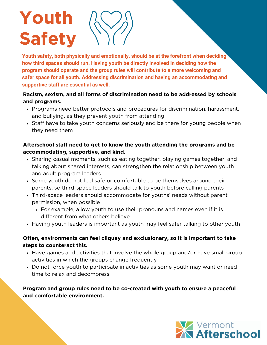## **Youth Safety**



**Youth safety, both physically and emotionally, should be at the forefront when deciding how third spaces should run. Having youth be directly involved in deciding how the program should operate and the group rules will contribute to a more welcoming and safer space for all youth. Addressing discrimination and having an accommodating and supportive staff are essential as well.**

#### **Racism, sexism, and all forms of discrimination need to be addressed by schools and programs.**

- Programs need better protocols and procedures for discrimination, harassment, and bullying, as they prevent youth from attending
- Staff have to take youth concerns seriously and be there for young people when they need them

#### **Afterschool staff need to get to know the youth attending the programs and be accommodating, supportive, and kind.**

- Sharing casual moments, such as eating together, playing games together, and talking about shared interests, can strengthen the relationship between youth and adult program leaders
- Some youth do not feel safe or comfortable to be themselves around their parents, so third-space leaders should talk to youth before calling parents
- Third-space leaders should accommodate for youths' needs without parent permission, when possible
	- For example, allow youth to use their pronouns and names even if it is different from what others believe
- Having youth leaders is important as youth may feel safer talking to other youth

#### **Often, environments can feel cliquey and exclusionary, so it is important to take steps to counteract this.**

- Have games and activities that involve the whole group and/or have small group activities in which the groups change frequently
- Do not force youth to participate in activities as some youth may want or need time to relax and decompress

#### **Program and group rules need to be co-created with youth to ensure a peaceful and comfortable environment.**

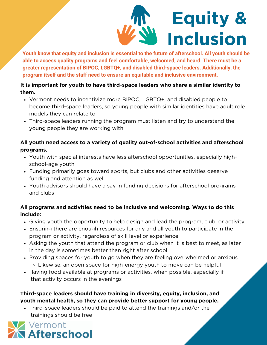

**Youth know that equity and inclusion is essential to the future of afterschool. All youth should be able to access quality programs and feel comfortable, welcomed, and heard. There must be a greater representation of BIPOC, LGBTQ+, and disabled third-space leaders. Additionally, the program itself and the staff need to ensure an equitable and inclusive environment.**

#### **It is important for youth to have third-space leaders who share a similar identity to them.**

- Vermont needs to incentivize more BIPOC, LGBTQ+, and disabled people to become third-space leaders, so young people with similar identities have adult role models they can relate to
- Third-space leaders running the program must listen and try to understand the young people they are working with

#### **All youth need access to a variety of quality out-of-school activities and afterschool programs.**

- Youth with special interests have less afterschool opportunities, especially highschool-age youth
- Funding primarily goes toward sports, but clubs and other activities deserve funding and attention as well
- Youth advisors should have a say in funding decisions for afterschool programs and clubs

#### **All programs and activities need to be inclusive and welcoming. Ways to do this include:**

- Giving youth the opportunity to help design and lead the program, club, or activity
- Ensuring there are enough resources for any and all youth to participate in the program or activity, regardless of skill level or experience
- Asking the youth that attend the program or club when it is best to meet, as later in the day is sometimes better than right after school
- Providing spaces for youth to go when they are feeling overwhelmed or anxious Likewise, an open space for high-energy youth to move can be helpful
- Having food available at programs or activities, when possible, especially if that activity occurs in the evenings

#### **Third-space leaders should have training in diversity, equity, inclusion, and youth mental health, so they can provide better support for young people.**

Third-space leaders should be paid to attend the trainings and/or the trainings should be free